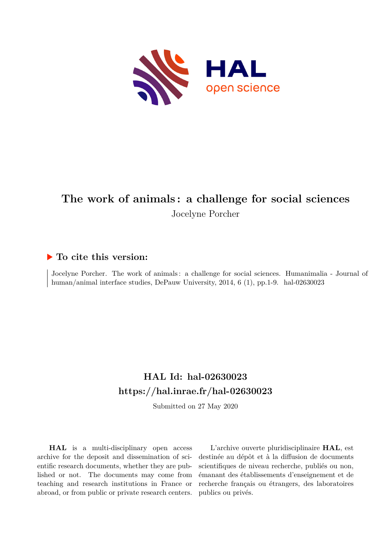

# **The work of animals : a challenge for social sciences** Jocelyne Porcher

#### **To cite this version:**

Jocelyne Porcher. The work of animals : a challenge for social sciences. Humanimalia - Journal of human/animal interface studies, DePauw University,  $2014, 6$  (1), pp.1-9. hal-02630023

### **HAL Id: hal-02630023 <https://hal.inrae.fr/hal-02630023>**

Submitted on 27 May 2020

**HAL** is a multi-disciplinary open access archive for the deposit and dissemination of scientific research documents, whether they are published or not. The documents may come from teaching and research institutions in France or abroad, or from public or private research centers.

L'archive ouverte pluridisciplinaire **HAL**, est destinée au dépôt et à la diffusion de documents scientifiques de niveau recherche, publiés ou non, émanant des établissements d'enseignement et de recherche français ou étrangers, des laboratoires publics ou privés.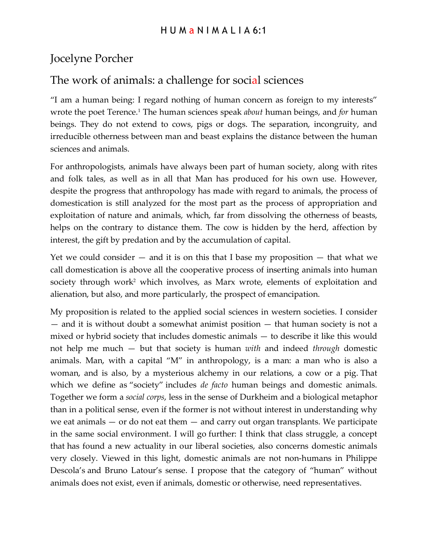# Jocelyne Porcher

# The work of animals: a challenge for social sciences

"I am a human being: I regard nothing of human concern as foreign to my interests" wrote the poet Terence.<sup>1</sup> The human sciences speak *about* human beings, and *for* human beings. They do not extend to cows, pigs or dogs. The separation, incongruity, and irreducible otherness between man and beast explains the distance between the human sciences and animals.

For anthropologists, animals have always been part of human society, along with rites and folk tales, as well as in all that Man has produced for his own use. However, despite the progress that anthropology has made with regard to animals, the process of domestication is still analyzed for the most part as the process of appropriation and exploitation of nature and animals, which, far from dissolving the otherness of beasts, helps on the contrary to distance them. The cow is hidden by the herd, affection by interest, the gift by predation and by the accumulation of capital.

Yet we could consider  $-$  and it is on this that I base my proposition  $-$  that what we call domestication is above all the cooperative process of inserting animals into human society through work<sup>2</sup> which involves, as Marx wrote, elements of exploitation and alienation, but also, and more particularly, the prospect of emancipation.

My proposition is related to the applied social sciences in western societies. I consider — and it is without doubt a somewhat animist position — that human society is not a mixed or hybrid society that includes domestic animals — to describe it like this would not help me much — but that society is human *with* and indeed *through* domestic animals. Man, with a capital "M" in anthropology, is a man: a man who is also a woman, and is also, by a mysterious alchemy in our relations, a cow or a pig. That which we define as "society" includes *de facto* human beings and domestic animals. Together we form a *social corps*, less in the sense of Durkheim and a biological metaphor than in a political sense, even if the former is not without interest in understanding why we eat animals — or do not eat them — and carry out organ transplants. We participate in the same social environment. I will go further: I think that class struggle, a concept that has found a new actuality in our liberal societies, also concerns domestic animals very closely. Viewed in this light, domestic animals are not non-humans in Philippe Descola's and Bruno Latour's sense. I propose that the category of "human" without animals does not exist, even if animals, domestic or otherwise, need representatives.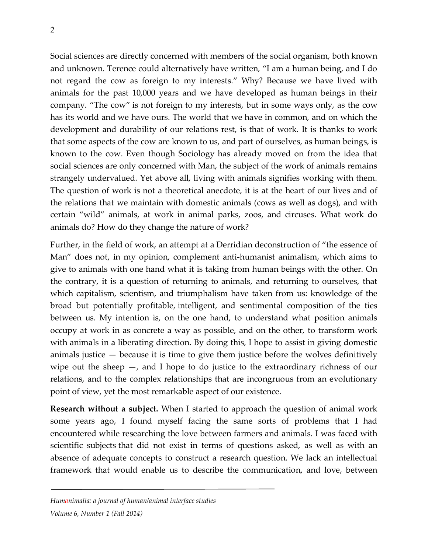Social sciences are directly concerned with members of the social organism, both known and unknown. Terence could alternatively have written, "I am a human being, and I do not regard the cow as foreign to my interests." Why? Because we have lived with animals for the past 10,000 years and we have developed as human beings in their company. "The cow" is not foreign to my interests, but in some ways only, as the cow has its world and we have ours. The world that we have in common, and on which the development and durability of our relations rest, is that of work. It is thanks to work that some aspects of the cow are known to us, and part of ourselves, as human beings, is known to the cow. Even though Sociology has already moved on from the idea that social sciences are only concerned with Man, the subject of the work of animals remains strangely undervalued. Yet above all, living with animals signifies working with them. The question of work is not a theoretical anecdote, it is at the heart of our lives and of the relations that we maintain with domestic animals (cows as well as dogs), and with certain "wild" animals, at work in animal parks, zoos, and circuses. What work do animals do? How do they change the nature of work?

Further, in the field of work, an attempt at a Derridian deconstruction of "the essence of Man" does not, in my opinion, complement anti-humanist animalism, which aims to give to animals with one hand what it is taking from human beings with the other. On the contrary, it is a question of returning to animals, and returning to ourselves, that which capitalism, scientism, and triumphalism have taken from us: knowledge of the broad but potentially profitable, intelligent, and sentimental composition of the ties between us. My intention is, on the one hand, to understand what position animals occupy at work in as concrete a way as possible, and on the other, to transform work with animals in a liberating direction. By doing this, I hope to assist in giving domestic animals justice — because it is time to give them justice before the wolves definitively wipe out the sheep —, and I hope to do justice to the extraordinary richness of our relations, and to the complex relationships that are incongruous from an evolutionary point of view, yet the most remarkable aspect of our existence.

**Research without a subject.** When I started to approach the question of animal work some years ago, I found myself facing the same sorts of problems that I had encountered while researching the love between farmers and animals. I was faced with scientific subjects that did not exist in terms of questions asked, as well as with an absence of adequate concepts to construct a research question. We lack an intellectual framework that would enable us to describe the communication, and love, between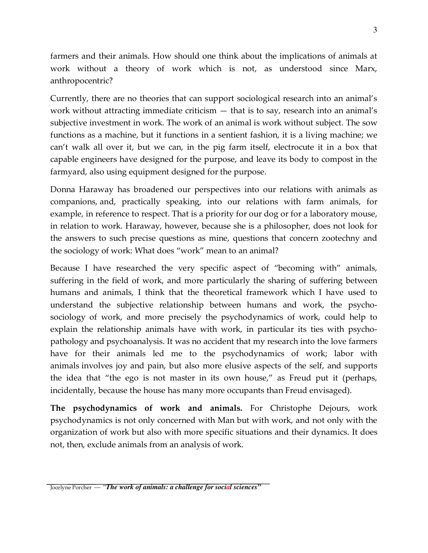farmers and their animals. How should one think about the implications of animals at work without a theory of work which is not, as understood since Marx, anthropocentric?

Currently, there are no theories that can support sociological research into an animal's work without attracting immediate criticism — that is to say, research into an animal's subjective investment in work. The work of an animal is work without subject. The sow functions as a machine, but it functions in a sentient fashion, it is a living machine; we can't walk all over it, but we can, in the pig farm itself, electrocute it in a box that capable engineers have designed for the purpose, and leave its body to compost in the farmyard, also using equipment designed for the purpose.

Donna Haraway has broadened our perspectives into our relations with animals as companions, and, practically speaking, into our relations with farm animals, for example, in reference to respect. That is a priority for our dog or for a laboratory mouse, in relation to work. Haraway, however, because she is a philosopher, does not look for the answers to such precise questions as mine, questions that concern zootechny and the sociology of work: What does "work" mean to an animal?

Because I have researched the very specific aspect of "becoming with" animals, suffering in the field of work, and more particularly the sharing of suffering between humans and animals, I think that the theoretical framework which I have used to understand the subjective relationship between humans and work, the psychosociology of work, and more precisely the psychodynamics of work, could help to explain the relationship animals have with work, in particular its ties with psychopathology and psychoanalysis. It was no accident that my research into the love farmers have for their animals led me to the psychodynamics of work; labor with animals involves joy and pain, but also more elusive aspects of the self, and supports the idea that "the ego is not master in its own house," as Freud put it (perhaps, incidentally, because the house has many more occupants than Freud envisaged).

**The psychodynamics of work and animals.** For Christophe Dejours, work psychodynamics is not only concerned with Man but with work, and not only with the organization of work but also with more specific situations and their dynamics. It does not, then, exclude animals from an analysis of work.

Jocelyne Porcher *— "The work of animals: a challenge for social sciences"*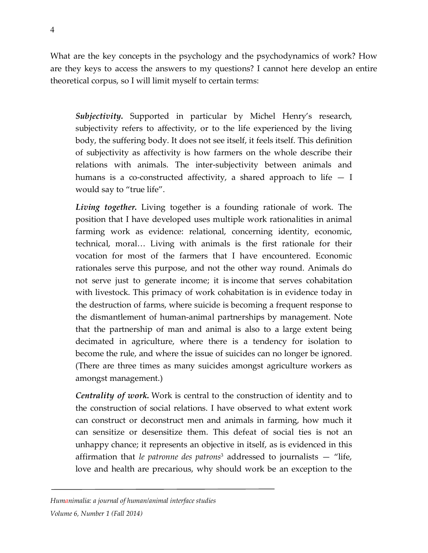What are the key concepts in the psychology and the psychodynamics of work? How are they keys to access the answers to my questions? I cannot here develop an entire theoretical corpus, so I will limit myself to certain terms:

*Subjectivity.* Supported in particular by Michel Henry's research, subjectivity refers to affectivity, or to the life experienced by the living body, the suffering body. It does not see itself, it feels itself. This definition of subjectivity as affectivity is how farmers on the whole describe their relations with animals. The inter-subjectivity between animals and humans is a co-constructed affectivity, a shared approach to life  $- I$ would say to "true life".

*Living together.* Living together is a founding rationale of work. The position that I have developed uses multiple work rationalities in animal farming work as evidence: relational, concerning identity, economic, technical, moral… Living with animals is the first rationale for their vocation for most of the farmers that I have encountered. Economic rationales serve this purpose, and not the other way round. Animals do not serve just to generate income; it is income that serves cohabitation with livestock. This primacy of work cohabitation is in evidence today in the destruction of farms, where suicide is becoming a frequent response to the dismantlement of human-animal partnerships by management. Note that the partnership of man and animal is also to a large extent being decimated in agriculture, where there is a tendency for isolation to become the rule, and where the issue of suicides can no longer be ignored. (There are three times as many suicides amongst agriculture workers as amongst management.)

*Centrality of work.* Work is central to the construction of identity and to the construction of social relations. I have observed to what extent work can construct or deconstruct men and animals in farming, how much it can sensitize or desensitize them. This defeat of social ties is not an unhappy chance; it represents an objective in itself, as is evidenced in this affirmation that *le patronne des patrons*<sup>3</sup> addressed to journalists — "life, love and health are precarious, why should work be an exception to the

*Humanimalia: a journal of human/animal interface studies*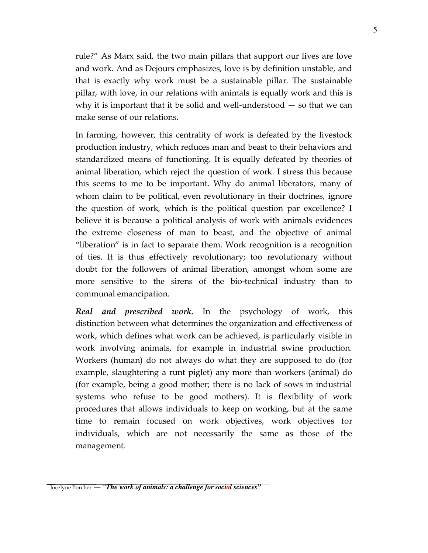rule?" As Marx said, the two main pillars that support our lives are love and work. And as Dejours emphasizes, love is by definition unstable, and that is exactly why work must be a sustainable pillar. The sustainable pillar, with love, in our relations with animals is equally work and this is why it is important that it be solid and well-understood  $-$  so that we can make sense of our relations.

In farming, however, this centrality of work is defeated by the livestock production industry, which reduces man and beast to their behaviors and standardized means of functioning. It is equally defeated by theories of animal liberation, which reject the question of work. I stress this because this seems to me to be important. Why do animal liberators, many of whom claim to be political, even revolutionary in their doctrines, ignore the question of work, which is the political question par excellence? I believe it is because a political analysis of work with animals evidences the extreme closeness of man to beast, and the objective of animal "liberation" is in fact to separate them. Work recognition is a recognition of ties. It is thus effectively revolutionary; too revolutionary without doubt for the followers of animal liberation, amongst whom some are more sensitive to the sirens of the bio-technical industry than to communal emancipation.

*Real and prescribed work.* In the psychology of work, this distinction between what determines the organization and effectiveness of work, which defines what work can be achieved, is particularly visible in work involving animals, for example in industrial swine production. Workers (human) do not always do what they are supposed to do (for example, slaughtering a runt piglet) any more than workers (animal) do (for example, being a good mother; there is no lack of sows in industrial systems who refuse to be good mothers). It is flexibility of work procedures that allows individuals to keep on working, but at the same time to remain focused on work objectives, work objectives for individuals, which are not necessarily the same as those of the management.

Jocelyne Porcher *— "The work of animals: a challenge for social sciences"*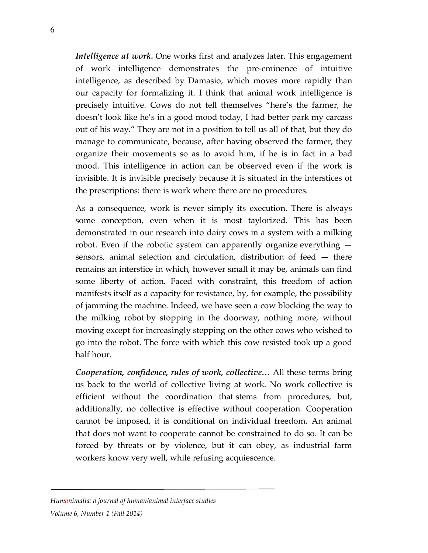*Intelligence at work.* One works first and analyzes later. This engagement of work intelligence demonstrates the pre-eminence of intuitive intelligence, as described by Damasio, which moves more rapidly than our capacity for formalizing it. I think that animal work intelligence is precisely intuitive. Cows do not tell themselves "here's the farmer, he doesn't look like he's in a good mood today, I had better park my carcass out of his way." They are not in a position to tell us all of that, but they do manage to communicate, because, after having observed the farmer, they organize their movements so as to avoid him, if he is in fact in a bad mood. This intelligence in action can be observed even if the work is invisible. It is invisible precisely because it is situated in the interstices of the prescriptions: there is work where there are no procedures.

As a consequence, work is never simply its execution. There is always some conception, even when it is most taylorized. This has been demonstrated in our research into dairy cows in a system with a milking robot. Even if the robotic system can apparently organize everything sensors, animal selection and circulation, distribution of feed — there remains an interstice in which, however small it may be, animals can find some liberty of action. Faced with constraint, this freedom of action manifests itself as a capacity for resistance, by, for example, the possibility of jamming the machine. Indeed, we have seen a cow blocking the way to the milking robot by stopping in the doorway, nothing more, without moving except for increasingly stepping on the other cows who wished to go into the robot. The force with which this cow resisted took up a good half hour.

*Cooperation, confidence, rules of work, collective…* All these terms bring us back to the world of collective living at work. No work collective is efficient without the coordination that stems from procedures, but, additionally, no collective is effective without cooperation. Cooperation cannot be imposed, it is conditional on individual freedom. An animal that does not want to cooperate cannot be constrained to do so. It can be forced by threats or by violence, but it can obey, as industrial farm workers know very well, while refusing acquiescence.

### *Humanimalia: a journal of human/animal interface studies*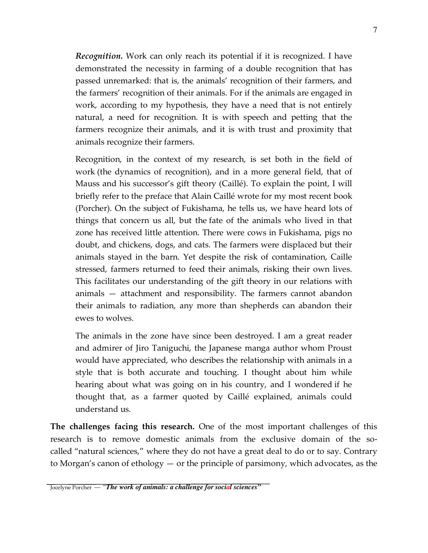*Recognition.* Work can only reach its potential if it is recognized. I have demonstrated the necessity in farming of a double recognition that has passed unremarked: that is, the animals' recognition of their farmers, and the farmers' recognition of their animals. For if the animals are engaged in work, according to my hypothesis, they have a need that is not entirely natural, a need for recognition. It is with speech and petting that the farmers recognize their animals, and it is with trust and proximity that animals recognize their farmers.

Recognition, in the context of my research, is set both in the field of work (the dynamics of recognition), and in a more general field, that of Mauss and his successor's gift theory (Caillé). To explain the point, I will briefly refer to the preface that Alain Caillé wrote for my most recent book (Porcher). On the subject of Fukishama, he tells us, we have heard lots of things that concern us all, but the fate of the animals who lived in that zone has received little attention. There were cows in Fukishama, pigs no doubt, and chickens, dogs, and cats. The farmers were displaced but their animals stayed in the barn. Yet despite the risk of contamination, Caille stressed, farmers returned to feed their animals, risking their own lives. This facilitates our understanding of the gift theory in our relations with animals — attachment and responsibility. The farmers cannot abandon their animals to radiation, any more than shepherds can abandon their ewes to wolves.

The animals in the zone have since been destroyed. I am a great reader and admirer of Jiro Taniguchi, the Japanese manga author whom Proust would have appreciated, who describes the relationship with animals in a style that is both accurate and touching. I thought about him while hearing about what was going on in his country, and I wondered if he thought that, as a farmer quoted by Caillé explained, animals could understand us.

**The challenges facing this research.** One of the most important challenges of this research is to remove domestic animals from the exclusive domain of the socalled "natural sciences," where they do not have a great deal to do or to say. Contrary to Morgan's canon of ethology — or the principle of parsimony, which advocates, as the

Jocelyne Porcher *— "The work of animals: a challenge for social sciences"*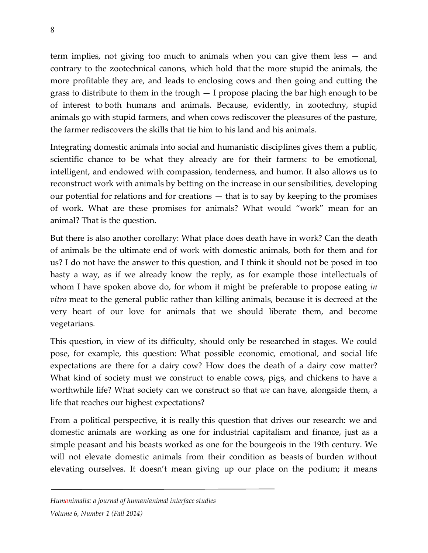term implies, not giving too much to animals when you can give them less — and contrary to the zootechnical canons, which hold that the more stupid the animals, the more profitable they are, and leads to enclosing cows and then going and cutting the grass to distribute to them in the trough — I propose placing the bar high enough to be of interest to both humans and animals. Because, evidently, in zootechny, stupid animals go with stupid farmers, and when cows rediscover the pleasures of the pasture, the farmer rediscovers the skills that tie him to his land and his animals.

Integrating domestic animals into social and humanistic disciplines gives them a public, scientific chance to be what they already are for their farmers: to be emotional, intelligent, and endowed with compassion, tenderness, and humor. It also allows us to reconstruct work with animals by betting on the increase in our sensibilities, developing our potential for relations and for creations — that is to say by keeping to the promises of work. What are these promises for animals? What would "work" mean for an animal? That is the question.

But there is also another corollary: What place does death have in work? Can the death of animals be the ultimate end of work with domestic animals, both for them and for us? I do not have the answer to this question, and I think it should not be posed in too hasty a way, as if we already know the reply, as for example those intellectuals of whom I have spoken above do, for whom it might be preferable to propose eating *in vitro* meat to the general public rather than killing animals, because it is decreed at the very heart of our love for animals that we should liberate them, and become vegetarians.

This question, in view of its difficulty, should only be researched in stages. We could pose, for example, this question: What possible economic, emotional, and social life expectations are there for a dairy cow? How does the death of a dairy cow matter? What kind of society must we construct to enable cows, pigs, and chickens to have a worthwhile life? What society can we construct so that *we* can have, alongside them, a life that reaches our highest expectations?

From a political perspective, it is really this question that drives our research: we and domestic animals are working as one for industrial capitalism and finance, just as a simple peasant and his beasts worked as one for the bourgeois in the 19th century. We will not elevate domestic animals from their condition as beasts of burden without elevating ourselves. It doesn't mean giving up our place on the podium; it means